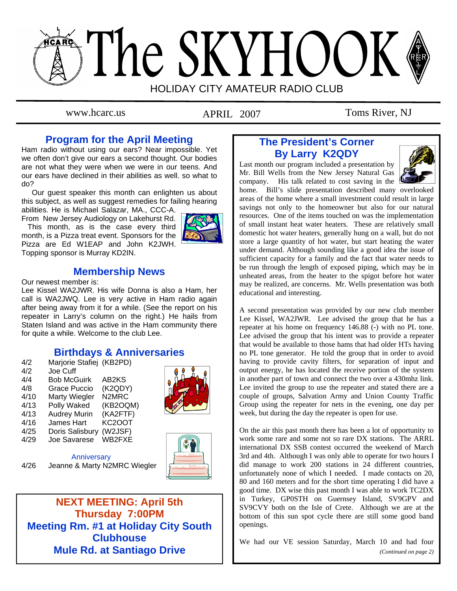# The SKYHOOK HOLIDAY CITY AMATEUR RADIO CLUB

APRIL 2007

www.hcarc.us **APRIL** 2007 Toms River, NJ

# **Program for the April Meeting**

Ham radio without using our ears? Near impossible. Yet we often don't give our ears a second thought. Our bodies are not what they were when we were in our teens. And our ears have declined in their abilities as well. so what to do?

 Our guest speaker this month can enlighten us about this subject, as well as suggest remedies for failing hearing

abilities. He is Michael Salazar, MA., CCC-A. From New Jersey Audiology on Lakehurst Rd.

 This month, as is the case every third month, is a Pizza treat event. Sponsors for the Pizza are Ed W1EAP and John K2JWH. Topping sponsor is Murray KD2IN.



# **Membership News**

Our newest member is:

Lee Kissel WA2JWR. His wife Donna is also a Ham, her call is WA2JWQ. Lee is very active in Ham radio again after being away from it for a while. (See the report on his repeater in Larry's column on the right.) He hails from Staten Island and was active in the Ham community there for quite a while. Welcome to the club Lee.

# **Birthdays & Anniversaries**

| 4/2  | Marjorie Stafiej (KB2PD) |                                |
|------|--------------------------|--------------------------------|
| 4/2  | Joe Cuff                 |                                |
| 4/4  | <b>Bob McGuirk</b>       | AB2KS                          |
| 4/8  | Grace Puccio             | (K2QDY)                        |
| 4/10 | <b>Marty Wiegler</b>     | N <sub>2</sub> M <sub>RC</sub> |
| 4/13 | Polly Waked              | (KB2OQM)                       |
| 4/13 | <b>Audrey Murin</b>      | (KA2FTF)                       |
| 4/16 | James Hart               | <b>KC2OOT</b>                  |
| 4/25 | Doris Salisbury          | (W2JSF)                        |
| 4/29 | Joe Savarese             | WB2FXE                         |
|      |                          |                                |



**Anniversary** 4/26 Jeanne & Marty N2MRC Wiegler



**NEXT MEETING: April 5th Thursday 7:00PM Meeting Rm. #1 at Holiday City South Clubhouse Mule Rd. at Santiago Drive** 

# **The President's Corner By Larry K2QDY**

Last month our program included a presentation by Mr. Bill Wells from the New Jersey Natural Gas company. His talk related to cost saving in the



home. Bill's slide presentation described many overlooked areas of the home where a small investment could result in large savings not only to the homeowner but also for our natural resources. One of the items touched on was the implementation of small instant heat water heaters. These are relatively small domestic hot water heaters, generally hung on a wall, but do not store a large quantity of hot water, but start heating the water under demand. Although sounding like a good idea the issue of sufficient capacity for a family and the fact that water needs to be run through the length of exposed piping, which may be in unheated areas, from the heater to the spigot before hot water may be realized, are concerns. Mr. Wells presentation was both educational and interesting.

A second presentation was provided by our new club member Lee Kissel, WA2JWR. Lee advised the group that he has a repeater at his home on frequency 146.88 (-) with no PL tone. Lee advised the group that his intent was to provide a repeater that would be available to those hams that had older HTs having no PL tone generator. He told the group that in order to avoid having to provide cavity filters, for separation of input and output energy, he has located the receive portion of the system in another part of town and connect the two over a 430mhz link. Lee invited the group to use the repeater and stated there are a couple of groups, Salvation Army and Union County Traffic Group using the repeater for nets in the evening, one day per week, but during the day the repeater is open for use.

On the air this past month there has been a lot of opportunity to work some rare and some not so rare DX stations. The ARRL international DX SSB contest occurred the weekend of March 3rd and 4th. Although I was only able to operate for two hours I did manage to work 200 stations in 24 different countries, unfortunately none of which I needed. I made contacts on 20, 80 and 160 meters and for the short time operating I did have a good time. DX wise this past month I was able to work TC2DX in Turkey, GP0STH on Guernsey Island, SV9GPV and SV9CVY both on the Isle of Crete. Although we are at the bottom of this sun spot cycle there are still some good band openings.

We had our VE session Saturday, March 10 and had four *(Continued on page 2)*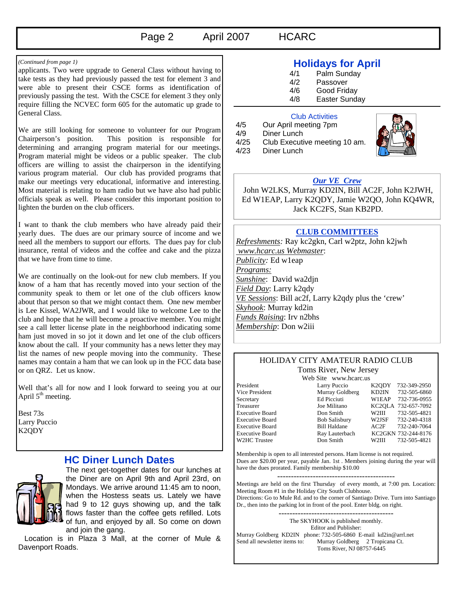# Page 2 April 2007 HCARC

applicants. Two were upgrade to General Class without having to take tests as they had previously passed the test for element 3 and were able to present their CSCE forms as identification of previously passing the test. With the CSCE for element 3 they only require filling the NCVEC form 605 for the automatic up grade to General Class.

We are still looking for someone to volunteer for our Program Chairperson's position. This position is responsible for determining and arranging program material for our meetings. Program material might be videos or a public speaker. The club officers are willing to assist the chairperson in the identifying various program material. Our club has provided programs that make our meetings very educational, informative and interesting. Most material is relating to ham radio but we have also had public officials speak as well. Please consider this important position to lighten the burden on the club officers.

I want to thank the club members who have already paid their yearly dues. The dues are our primary source of income and we need all the members to support our efforts. The dues pay for club insurance, rental of videos and the coffee and cake and the pizza that we have from time to time.

We are continually on the look-out for new club members. If you know of a ham that has recently moved into your section of the community speak to them or let one of the club officers know about that person so that we might contact them. One new member is Lee Kissel, WA2JWR, and I would like to welcome Lee to the club and hope that he will become a proactive member. You might see a call letter license plate in the neighborhood indicating some ham just moved in so jot it down and let one of the club officers know about the call. If your community has a news letter they may list the names of new people moving into the community. These names may contain a ham that we can look up in the FCC data base or on QRZ. Let us know.

Well that's all for now and I look forward to seeing you at our April  $5<sup>th</sup>$  meeting.

Best 73s Larry Puccio K2QDY

# **HC Diner Lunch Dates**



The next get-together dates for our lunches at the Diner are on April 9th and April 23rd, on Mondays. We arrive around 11:45 am to noon, when the Hostess seats us. Lately we have had 9 to 12 guys showing up, and the talk flows faster than the coffee gets refilled. Lots of fun, and enjoyed by all. So come on down and join the gang.

 Location is in Plaza 3 Mall, at the corner of Mule & Davenport Roads.

# *(Continued from page 1)* **Holidays for April**

- 4/1 Palm Sunday<br>4/2 Passover
- Passover
- 4/6 Good Friday
- 4/8 Easter Sunday

#### Club Activities

| 4/5  | Our April meeting 7pm         |
|------|-------------------------------|
| 4/9  | Diner Lunch                   |
| 4/25 | Club Executive meeting 10 am. |
| 4/23 | Diner Lunch                   |



## *Our VE Crew*

 John W2LKS, Murray KD2IN, Bill AC2F, John K2JWH, Ed W1EAP, Larry K2QDY, Jamie W2QO, John KQ4WR, Jack KC2FS, Stan KB2PD.

## **CLUB COMMITTEES**

*Refreshments:* Ray kc2gkn, Carl w2ptz, John k2jwh  *www.hcarc.us Webmaster*: *Publicity:* Ed w1eap *Programs: Sunshine*: David wa2djn *Field Day*: Larry k2qdy *VE Sessions*: Bill ac2f, Larry k2qdy plus the 'crew' *Skyhook*: Murray kd2in *Funds Raising*: Irv n2bhs *Membership*: Don w2iii

#### HOLIDAY CITY AMATEUR RADIO CLUB Toms River, New Jersey

W2HC Trustee

Web Site www.hcarc.us

President Larry Puccio K2QDY 732-349-2950<br>Vice President Murray Goldberg KD2IN 732-505-6860 Vice President Murray Goldberg KD2IN 732-505-6860 Secretary Ed Picciuti W1EAP 732-736-0955 Treasurer Joe Militano KC2QLA 732-657-7092 Executive Board Don Smith W2III 732-505-4821 Executive Board Bob Salisbury W2JSF 732-240-4318 Executive Board Bill Haldane AC2F 732-240-7064 Executive Board Ray Lauterbach KC2GKN 732-244-8176<br>
W2HC Trustee Don Smith W2HI 732-505-4821

Membership is open to all interested persons. Ham license is not required. Dues are \$20.00 per year, payable Jan. 1st . Members joining during the year will have the dues prorated. Family membership \$10.00

Meetings are held on the first Thursday of every month, at 7:00 pm. Location: Meeting Room #1 in the Holiday City South Clubhouse. Directions: Go to Mule Rd. and to the corner of Santiago Drive. Turn into Santiago Dr., then into the parking lot in front of the pool. Enter bldg. on right.

------------------------------------------ The SKYHOOK is published monthly. Editor and Publisher: Murray Goldberg KD2IN phone: 732-505-6860 E-mail kd2in@arrl.net<br>Send all newsletter items to: Murray Goldberg 2 Tropicana Ct. Murray Goldberg 2 Tropicana Ct. Toms River, NJ 08757-6445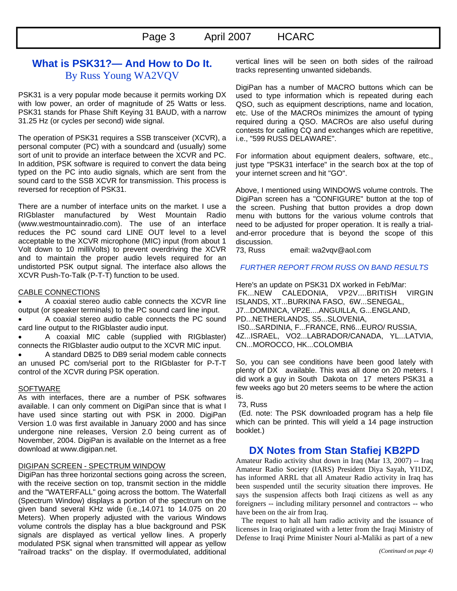# **What is PSK31?— And How to Do It.**  By Russ Young WA2VQV

PSK31 is a very popular mode because it permits working DX with low power, an order of magnitude of 25 Watts or less. PSK31 stands for Phase Shift Keying 31 BAUD, with a narrow 31.25 Hz (or cycles per second) wide signal.

The operation of PSK31 requires a SSB transceiver (XCVR), a personal computer (PC) with a soundcard and (usually) some sort of unit to provide an interface between the XCVR and PC. In addition, PSK software is required to convert the data being typed on the PC into audio signals, which are sent from the sound card to the SSB XCVR for transmission. This process is reversed for reception of PSK31.

There are a number of interface units on the market. I use a RIGblaster manufactured by West Mountain Radio (www.westmountainradio.com). The use of an interface reduces the PC sound card LINE OUT level to a level acceptable to the XCVR microphone (MIC) input (from about 1 Volt down to 10 milliVolts) to prevent overdriving the XCVR and to maintain the proper audio levels required for an undistorted PSK output signal. The interface also allows the XCVR Push-To-Talk (P-T-T) function to be used.

#### CABLE CONNECTIONS

• A coaxial stereo audio cable connects the XCVR line output (or speaker terminals) to the PC sound card line input.

• A coaxial stereo audio cable connects the PC sound card line output to the RIGblaster audio input.

• A coaxial MIC cable (supplied with RIGblaster) connects the RIGblaster audio output to the XCVR MIC input.

• A standard DB25 to DB9 serial modem cable connects an unused PC com/serial port to the RIGblaster for P-T-T control of the XCVR during PSK operation.

#### **SOFTWARE**

As with interfaces, there are a number of PSK softwares available. I can only comment on DigiPan since that is what I have used since starting out with PSK in 2000. DigiPan Version 1.0 was first available in January 2000 and has since undergone nine releases, Version 2.0 being current as of November, 2004. DigiPan is available on the Internet as a free download at www.digipan.net.

#### DIGIPAN SCREEN - SPECTRUM WINDOW

DigiPan has three horizontal sections going across the screen, with the receive section on top, transmit section in the middle and the "WATERFALL" going across the bottom. The Waterfall (Spectrum Window) displays a portion of the spectrum on the given band several KHz wide (i.e.,14.071 to 14.075 on 20 Meters). When properly adjusted with the various Windows volume controls the display has a blue background and PSK signals are displayed as vertical yellow lines. A properly modulated PSK signal when transmitted will appear as yellow "railroad tracks" on the display. If overmodulated, additional

vertical lines will be seen on both sides of the railroad tracks representing unwanted sidebands.

DigiPan has a number of MACRO buttons which can be used to type information which is repeated during each QSO, such as equipment descriptions, name and location, etc. Use of the MACROs minimizes the amount of typing required during a QSO. MACROs are also useful during contests for calling CQ and exchanges which are repetitive, i.e., "599 RUSS DELAWARE".

For information about equipment dealers, software, etc., just type "PSK31 interface" in the search box at the top of your internet screen and hit "GO".

Above, I mentioned using WINDOWS volume controls. The DigiPan screen has a "CONFIGURE" button at the top of the screen. Pushing that button provides a drop down menu with buttons for the various volume controls that need to be adjusted for proper operation. It is really a trialand-error procedure that is beyond the scope of this discussion.

73, Russ email: wa2vqv@aol.com

#### *FURTHER REPORT FROM RUSS ON BAND RESULTS*

Here's an update on PSK31 DX worked in Feb/Mar: FK...NEW CALEDONIA, VP2V....BRITISH VIRGIN ISLANDS, XT...BURKINA FASO, 6W...SENEGAL, J7...DOMINICA, VP2E....ANGUILLA, G...ENGLAND, PD...NETHERLANDS, S5...SLOVENIA, IS0...SARDINIA, F...FRANCE, RN6...EURO/ RUSSIA, 4Z...ISRAEL, VO2...LABRADOR/CANADA, YL...LATVIA, CN...MOROCCO, HK...COLOMBIA

So, you can see conditions have been good lately with plenty of DX available. This was all done on 20 meters. I did work a guy in South Dakota on 17 meters PSK31 a few weeks ago but 20 meters seems to be where the action is.

#### 73, Russ

 (Ed. note: The PSK downloaded program has a help file which can be printed. This will yield a 14 page instruction booklet.)

# **DX Notes from Stan Stafiej KB2PD**

Amateur Radio activity shut down in Iraq (Mar 13, 2007) -- Iraq Amateur Radio Society (IARS) President Diya Sayah, YI1DZ, has informed ARRL that all Amateur Radio activity in Iraq has been suspended until the security situation there improves. He says the suspension affects both Iraqi citizens as well as any foreigners -- including military personnel and contractors -- who have been on the air from Iraq.

 The request to halt all ham radio activity and the issuance of licenses in Iraq originated with a letter from the Iraqi Ministry of Defense to Iraqi Prime Minister Nouri al-Maliki as part of a new